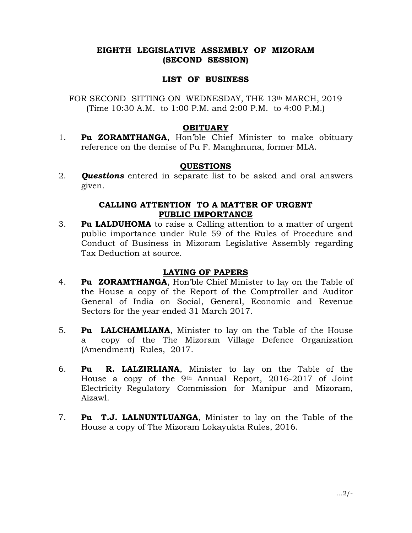# EIGHTH LEGISLATIVE ASSEMBLY OF MIZORAM (SECOND SESSION)

# LIST OF BUSINESS

FOR SECOND SITTING ON WEDNESDAY, THE 13th MARCH, 2019 (Time 10:30 A.M. to 1:00 P.M. and 2:00 P.M. to 4:00 P.M.)

# **OBITUARY**

1. Pu ZORAMTHANGA, Hon'ble Chief Minister to make obituary reference on the demise of Pu F. Manghnuna, former MLA.

# **QUESTIONS**

2. **Questions** entered in separate list to be asked and oral answers given.

### CALLING ATTENTION TO A MATTER OF URGENT PUBLIC IMPORTANCE

3. Pu LALDUHOMA to raise a Calling attention to a matter of urgent public importance under Rule 59 of the Rules of Procedure and Conduct of Business in Mizoram Legislative Assembly regarding Tax Deduction at source.

# LAYING OF PAPERS

- 4. **Pu ZORAMTHANGA**, Hon'ble Chief Minister to lay on the Table of the House a copy of the Report of the Comptroller and Auditor General of India on Social, General, Economic and Revenue Sectors for the year ended 31 March 2017.
- 5. **Pu LALCHAMLIANA**, Minister to lay on the Table of the House a copy of the The Mizoram Village Defence Organization (Amendment) Rules, 2017.
- 6. Pu R. LALZIRLIANA, Minister to lay on the Table of the House a copy of the 9th Annual Report, 2016-2017 of Joint Electricity Regulatory Commission for Manipur and Mizoram, Aizawl.
- 7. Pu T.J. LALNUNTLUANGA, Minister to lay on the Table of the House a copy of The Mizoram Lokayukta Rules, 2016.